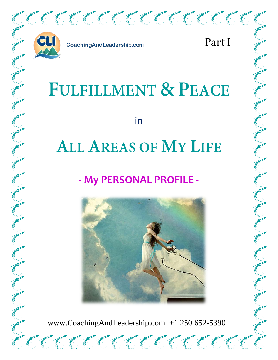

CoachingAndLeadership.com

Part I

# **FULFILLMENT & PEACE**

in

## **ALL AREAS OF MY LIFE**

## - **My PERSONAL PROFILE -**



www.CoachingAndLeadership.com +1 250 652-5390

سن المستقبل المستقبل المستقبل المستقبل المستقبل المستقبل المستقبل المستقبل المستقبل المستقبل المستقبل المستقبل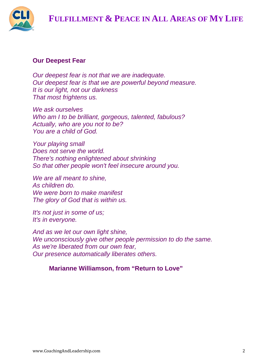**FULFILLMENT & PEACE IN ALL AREAS OF MY LIFE**



#### **Our Deepest Fear**

*Our deepest fear is not that we are inadequate. Our deepest fear is that we are powerful beyond measure. It is our light, not our darkness That most frightens us.* 

*We ask ourselves Who am I to be brilliant, gorgeous, talented, fabulous? Actually, who are you not to be? You are a child of God.* 

*Your playing small Does not serve the world. There's nothing enlightened about shrinking So that other people won't feel insecure around you.*

*We are all meant to shine, As children do. We were born to make manifest The glory of God that is within us.* 

*It's not just in some of us; It's in everyone.*

*And as we let our own light shine, We unconsciously give other people permission to do the same. As we're liberated from our own fear, Our presence automatically liberates others.*

#### **Marianne Williamson, from "Return to Love"**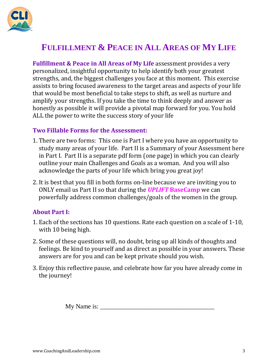

## **FULFILLMENT & PEACE IN ALL AREAS OF MY LIFE**

**Fulfillment & Peace in All Areas of My Life** assessment provides a very personalized, insightful opportunity to help identify both your greatest strengths, and, the biggest challenges you face at this moment. This exercise assists to bring focused awareness to the target areas and aspects of your life that would be most beneficial to take steps to shift, as well as nurture and amplify your strengths. If you take the time to think deeply and answer as honestly as possible it will provide a pivotal map forward for you. You hold ALL the power to write the success story of your life

#### **Two Fillable Forms for the Assessment:**

- 1. There are two forms: This one is Part I where you have an opportunity to study many areas of your life. Part II is a Summary of your Assessment here in Part I. Part II is a separate pdf form (one page) in which you can clearly outline your main Challenges and Goals as a woman. And you will also acknowledge the parts of your life which bring you great joy!
- 2. It is best that you fill in both forms on-line because we are inviting you to ONLY email us Part II so that during the *UPLIFT* **BaseCamp** we can powerfully address common challenges/goals of the women in the group.

#### **About Part I:**

- 1. Each of the sections has 10 questions. Rate each question on a scale of 1-10, with 10 being high.
- 2. Some of these questions will, no doubt, bring up all kinds of thoughts and feelings. Be kind to yourself and as direct as possible in your answers. These answers are for you and can be kept private should you wish.
- 3. Enjoy this reflective pause, and celebrate how far you have already come in the journey!

 $My Name is:$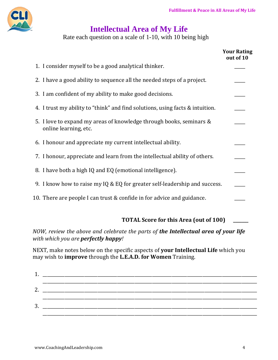

## **Intellectual Area of My Life**

Rate each question on a scale of 1-10, with 10 being high

|                                                                                              | <b>Your Rating</b><br>out of 10 |
|----------------------------------------------------------------------------------------------|---------------------------------|
| 1. I consider myself to be a good analytical thinker.                                        |                                 |
| 2. I have a good ability to sequence all the needed steps of a project.                      |                                 |
| 3. I am confident of my ability to make good decisions.                                      |                                 |
| 4. I trust my ability to "think" and find solutions, using facts & intuition.                |                                 |
| 5. I love to expand my areas of knowledge through books, seminars &<br>online learning, etc. |                                 |
| 6. I honour and appreciate my current intellectual ability.                                  |                                 |
| 7. I honour, appreciate and learn from the intellectual ability of others.                   |                                 |
| 8. I have both a high IQ and EQ (emotional intelligence).                                    |                                 |
| 9. I know how to raise my IQ & EQ for greater self-leadership and success.                   |                                 |
| 10. There are people I can trust & confide in for advice and guidance.                       |                                 |
|                                                                                              |                                 |

#### **TOTAL Score for this Area (out of 100) \_\_\_\_\_\_\_**

*NOW, review the above and celebrate the parts of the Intellectual area of your life with which you are perfectly happy!*

NEXT, make notes below on the specific aspects of **your Intellectual Life** which you may wish to **improve** through the **L.E.A.D. for Women** Training.

|    | <u> 1980 - Andrea Andrea Andrea Andrea Andrea Andrea Andrea Andrea Andrea Andrea Andrea Andrea Andrea Andrea And</u> |
|----|----------------------------------------------------------------------------------------------------------------------|
| 2. |                                                                                                                      |
| 3. |                                                                                                                      |
|    |                                                                                                                      |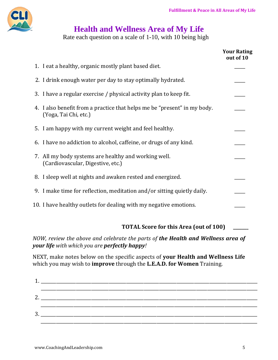

## **Health and Wellness Area of My Life**

Rate each question on a scale of 1-10, with 10 being high

|                                                                                                   | <b>Your Rating</b><br>out of 10 |
|---------------------------------------------------------------------------------------------------|---------------------------------|
| 1. I eat a healthy, organic mostly plant based diet.                                              |                                 |
| 2. I drink enough water per day to stay optimally hydrated.                                       |                                 |
| 3. I have a regular exercise / physical activity plan to keep fit.                                |                                 |
| 4. I also benefit from a practice that helps me be "present" in my body.<br>(Yoga, Tai Chi, etc.) |                                 |
| 5. I am happy with my current weight and feel healthy.                                            |                                 |
| 6. I have no addiction to alcohol, caffeine, or drugs of any kind.                                |                                 |
| 7. All my body systems are healthy and working well.<br>(Cardiovascular, Digestive, etc.)         |                                 |
| 8. I sleep well at nights and awaken rested and energized.                                        |                                 |
| 9. I make time for reflection, meditation and/or sitting quietly daily.                           |                                 |
| 10. I have healthy outlets for dealing with my negative emotions.                                 |                                 |

#### **TOTAL Score for this Area (out of 100) \_\_\_\_\_\_\_**

*NOW, review the above and celebrate the parts of the Health and Wellness area of your life with which you are perfectly happy!*

NEXT, make notes below on the specific aspects of **your Health and Wellness Life**  which you may wish to **improve** through the **L.E.A.D. for Women** Training.

| ົາ      |                                                                                                                                                                                                                                                                                                                                       |  |  |
|---------|---------------------------------------------------------------------------------------------------------------------------------------------------------------------------------------------------------------------------------------------------------------------------------------------------------------------------------------|--|--|
|         | $\mathcal{L}_{1}$ and $\mathcal{L}_{2}$ and $\mathcal{L}_{3}$ and $\mathcal{L}_{4}$ and $\mathcal{L}_{5}$ and $\mathcal{L}_{6}$ and $\mathcal{L}_{7}$ and $\mathcal{L}_{8}$ and $\mathcal{L}_{9}$ and $\mathcal{L}_{10}$ and $\mathcal{L}_{11}$ and $\mathcal{L}_{12}$ and $\mathcal{L}_{13}$ and $\mathcal{L}_{14}$ and $\mathcal{L$ |  |  |
| 2<br>J. |                                                                                                                                                                                                                                                                                                                                       |  |  |
|         |                                                                                                                                                                                                                                                                                                                                       |  |  |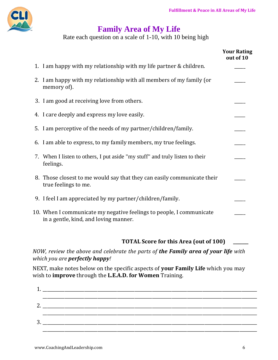

## **Family Area of My Life**

Rate each question on a scale of 1-10, with 10 being high

|                                                                                                               | <b>Your Rating</b><br>out of 10 |
|---------------------------------------------------------------------------------------------------------------|---------------------------------|
| 1. I am happy with my relationship with my life partner & children.                                           |                                 |
| 2. I am happy with my relationship with all members of my family (or<br>memory of).                           |                                 |
| 3. I am good at receiving love from others.                                                                   |                                 |
| 4. I care deeply and express my love easily.                                                                  |                                 |
| 5. I am perceptive of the needs of my partner/children/family.                                                |                                 |
| 6. I am able to express, to my family members, my true feelings.                                              |                                 |
| 7. When I listen to others, I put aside "my stuff" and truly listen to their<br>feelings.                     |                                 |
| 8. Those closest to me would say that they can easily communicate their<br>true feelings to me.               |                                 |
| 9. I feel I am appreciated by my partner/children/family.                                                     |                                 |
| 10. When I communicate my negative feelings to people, I communicate<br>in a gentle, kind, and loving manner. |                                 |
|                                                                                                               |                                 |

#### **TOTAL Score for this Area (out of 100) \_\_\_\_\_\_\_**

*NOW, review the above and celebrate the parts of the Family area of your life with which you are perfectly happy!*

NEXT, make notes below on the specific aspects of **your Family Life** which you may wish to **improve** through the **L.E.A.D. for Women** Training.

|     | 2.<br><u> 1980 - Jan Barbara, manazarta da kasas da shekara 1980 - Ang Barbara na Barbara na Santa Barbara na Santa Bar</u> |  |
|-----|-----------------------------------------------------------------------------------------------------------------------------|--|
| ာ   |                                                                                                                             |  |
| ັບ. |                                                                                                                             |  |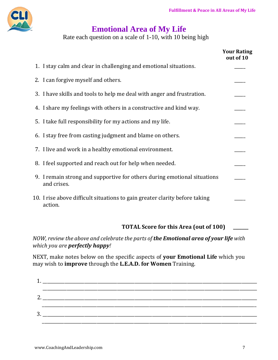

## **Emotional Area of My Life**

Rate each question on a scale of 1-10, with 10 being high

|                                                                                         | <b>Your Rating</b><br>out of 10 |
|-----------------------------------------------------------------------------------------|---------------------------------|
| 1. I stay calm and clear in challenging and emotional situations.                       |                                 |
| 2. I can forgive myself and others.                                                     |                                 |
| 3. I have skills and tools to help me deal with anger and frustration.                  |                                 |
| 4. I share my feelings with others in a constructive and kind way.                      |                                 |
| 5. I take full responsibility for my actions and my life.                               |                                 |
| 6. I stay free from casting judgment and blame on others.                               |                                 |
| 7. I live and work in a healthy emotional environment.                                  |                                 |
| 8. I feel supported and reach out for help when needed.                                 |                                 |
| 9. I remain strong and supportive for others during emotional situations<br>and crises. |                                 |
| 10. I rise above difficult situations to gain greater clarity before taking<br>action.  |                                 |

#### **TOTAL Score for this Area (out of 100) \_\_\_\_\_\_\_**

*NOW, review the above and celebrate the parts of the Emotional area of your life with which you are perfectly happy!*

NEXT, make notes below on the specific aspects of **your Emotional Life** which you may wish to **improve** through the **L.E.A.D. for Women** Training.

| $\begin{array}{c}\n3. \quad \textcolor{blue}{\textbf{2.2}}\n\end{array}$ |  |  |
|--------------------------------------------------------------------------|--|--|
|                                                                          |  |  |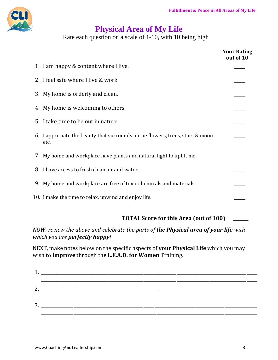

## **Physical Area of My Life**

Rate each question on a scale of 1-10, with 10 being high

|                                                                                       | <b>Your Rating</b><br>out of 10 |
|---------------------------------------------------------------------------------------|---------------------------------|
| 1. I am happy & content where I live.                                                 |                                 |
| 2. I feel safe where I live & work.                                                   |                                 |
| 3. My home is orderly and clean.                                                      |                                 |
| 4. My home is welcoming to others.                                                    |                                 |
| 5. I take time to be out in nature.                                                   |                                 |
| 6. I appreciate the beauty that surrounds me, ie flowers, trees, stars & moon<br>etc. |                                 |
| 7. My home and workplace have plants and natural light to uplift me.                  |                                 |
| 8. I have access to fresh clean air and water.                                        |                                 |
| 9. My home and workplace are free of toxic chemicals and materials.                   |                                 |
| 10. I make the time to relax, unwind and enjoy life.                                  |                                 |
|                                                                                       |                                 |

#### **TOTAL Score for this Area (out of 100) \_\_\_\_\_\_\_**

*NOW, review the above and celebrate the parts of the Physical area of your life with which you are perfectly happy!*

NEXT, make notes below on the specific aspects of **your Physical Life** which you may wish to **improve** through the **L.E.A.D. for Women** Training.

|              | 2. $\overline{\phantom{a}}$                     |  |  |
|--------------|-------------------------------------------------|--|--|
| $\mathbf{P}$ | the contract of the contract of the contract of |  |  |
| . ບ.         |                                                 |  |  |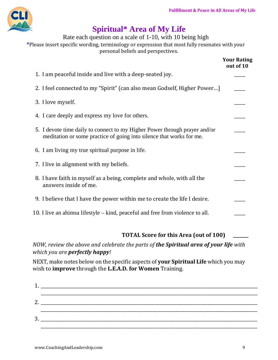

## **Spiritual\* Area of My Life**

Rate each question on a scale of 1-10, with 10 being high **\***Please insert specific wording, terminology or expression that most fully resonates with your personal beliefs and perspectives.

|                                                                                                                                                    | <b>Your Rating</b><br>out of 10 |
|----------------------------------------------------------------------------------------------------------------------------------------------------|---------------------------------|
| 1. I am peaceful inside and live with a deep-seated joy.                                                                                           |                                 |
| 2. I feel connected to my "Spirit" (can also mean Godself, Higher Power]                                                                           |                                 |
| 3. I love myself.                                                                                                                                  |                                 |
| 4. I care deeply and express my love for others.                                                                                                   |                                 |
| 5. I devote time daily to connect to my Higher Power through prayer and/or<br>meditation or some practice of going into silence that works for me. |                                 |
| 6. I am living my true spiritual purpose in life.                                                                                                  |                                 |
| 7. I live in alignment with my beliefs.                                                                                                            |                                 |
| 8. I have faith in myself as a being, complete and whole, with all the<br>answers inside of me.                                                    |                                 |
| 9. I believe that I have the power within me to create the life I desire.                                                                          |                                 |
| 10. I live an ahimsa lifestyle – kind, peaceful and free from violence to all.                                                                     |                                 |

#### **TOTAL Score for this Area (out of 100) \_\_\_\_\_\_\_**

#### *NOW, review the above and celebrate the parts of the Spiritual area of your life with which you are perfectly happy!*

NEXT, make notes below on the specific aspects of **your Spiritual Life** which you may wish to **improve** through the **L.E.A.D. for Women** Training.

|    | 2.                                                             |  |
|----|----------------------------------------------------------------|--|
| 3. | <u> 1980 - Jan Barbara, martin da kasar Amerika Indonesia.</u> |  |
|    |                                                                |  |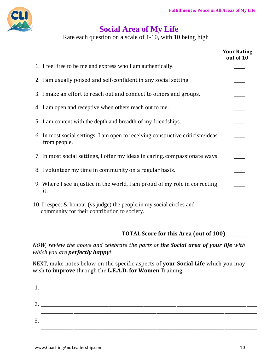

## **Social Area of My Life**

Rate each question on a scale of 1-10, with 10 being high

|                                                                                                                       | <b>Your Rating</b><br>out of 10 |
|-----------------------------------------------------------------------------------------------------------------------|---------------------------------|
| 1. I feel free to be me and express who I am authentically.                                                           |                                 |
| 2. I am usually poised and self-confident in any social setting.                                                      |                                 |
| 3. I make an effort to reach out and connect to others and groups.                                                    |                                 |
| 4. I am open and receptive when others reach out to me.                                                               |                                 |
| 5. I am content with the depth and breadth of my friendships.                                                         |                                 |
| 6. In most social settings, I am open to receiving constructive criticism/ideas<br>from people.                       |                                 |
| 7. In most social settings, I offer my ideas in caring, compassionate ways.                                           |                                 |
| 8. I volunteer my time in community on a regular basis.                                                               |                                 |
| 9. Where I see injustice in the world, I am proud of my role in correcting<br>it.                                     |                                 |
| 10. I respect & honour (vs judge) the people in my social circles and<br>community for their contribution to society. |                                 |

#### **TOTAL Score for this Area (out of 100) \_\_\_\_\_\_\_**

*NOW, review the above and celebrate the parts of the Social area of your life with which you are perfectly happy!*

NEXT, make notes below on the specific aspects of **your Social Life** which you may wish to **improve** through the **L.E.A.D. for Women** Training.

|        | <u> 1980 - Jan Barnett, fransk politik (f. 1980)</u> |  |
|--------|------------------------------------------------------|--|
| 2.     |                                                      |  |
| ာ<br>◡ |                                                      |  |
|        |                                                      |  |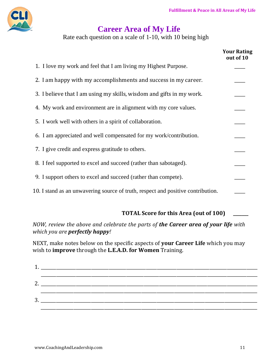

## **Career Area of My Life**

Rate each question on a scale of 1-10, with 10 being high

|                                                                                  | <b>Your Rating</b><br>out of 10 |
|----------------------------------------------------------------------------------|---------------------------------|
| 1. I love my work and feel that I am living my Highest Purpose.                  |                                 |
| 2. I am happy with my accomplishments and success in my career.                  |                                 |
| 3. I believe that I am using my skills, wisdom and gifts in my work.             |                                 |
| 4. My work and environment are in alignment with my core values.                 |                                 |
| 5. I work well with others in a spirit of collaboration.                         |                                 |
| 6. I am appreciated and well compensated for my work/contribution.               |                                 |
| 7. I give credit and express gratitude to others.                                |                                 |
| 8. I feel supported to excel and succeed (rather than sabotaged).                |                                 |
| 9. I support others to excel and succeed (rather than compete).                  |                                 |
| 10. I stand as an unwavering source of truth, respect and positive contribution. |                                 |

#### **TOTAL Score for this Area (out of 100) \_\_\_\_\_\_\_**

*NOW, review the above and celebrate the parts of the Career area of your life with which you are perfectly happy!*

NEXT, make notes below on the specific aspects of **your Career Life** which you may wish to **improve** through the **L.E.A.D. for Women** Training.

|   | 2. $\qquad \qquad$ |  |
|---|--------------------|--|
| 2 |                    |  |
|   |                    |  |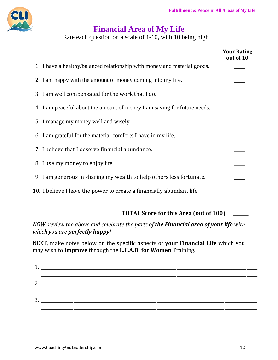

## **Financial Area of My Life**

Rate each question on a scale of 1-10, with 10 being high

|                                                                          | <b>Your Rating</b><br>out of 10 |
|--------------------------------------------------------------------------|---------------------------------|
| 1. I have a healthy/balanced relationship with money and material goods. |                                 |
| 2. I am happy with the amount of money coming into my life.              |                                 |
| 3. I am well compensated for the work that I do.                         |                                 |
| 4. I am peaceful about the amount of money I am saving for future needs. |                                 |
| 5. I manage my money well and wisely.                                    |                                 |
| 6. I am grateful for the material comforts I have in my life.            |                                 |
| 7. I believe that I deserve financial abundance.                         |                                 |
| 8. I use my money to enjoy life.                                         |                                 |
| 9. I am generous in sharing my wealth to help others less fortunate.     |                                 |
| 10. I believe I have the power to create a financially abundant life.    |                                 |
|                                                                          |                                 |

#### **TOTAL Score for this Area (out of 100) \_\_\_\_\_\_\_**

*NOW, review the above and celebrate the parts of the Financial area of your life with which you are perfectly happy!*

NEXT, make notes below on the specific aspects of **your Financial Life** which you may wish to **improve** through the **L.E.A.D. for Women** Training.

|   | 2. $\qquad \qquad$ |  |
|---|--------------------|--|
| 2 |                    |  |
|   |                    |  |